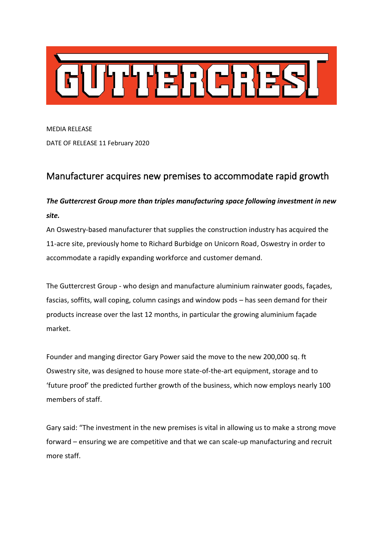

MEDIA RELEASE DATE OF RELEASE 11 February 2020

## Manufacturer acquires new premises to accommodate rapid growth

## *The Guttercrest Group more than triples manufacturing space following investment in new site.*

An Oswestry-based manufacturer that supplies the construction industry has acquired the 11-acre site, previously home to Richard Burbidge on Unicorn Road, Oswestry in order to accommodate a rapidly expanding workforce and customer demand.

The Guttercrest Group - who design and manufacture aluminium rainwater goods, façades, fascias, soffits, wall coping, column casings and window pods – has seen demand for their products increase over the last 12 months, in particular the growing aluminium façade market.

Founder and manging director Gary Power said the move to the new 200,000 sq. ft Oswestry site, was designed to house more state-of-the-art equipment, storage and to 'future proof' the predicted further growth of the business, which now employs nearly 100 members of staff.

Gary said: "The investment in the new premises is vital in allowing us to make a strong move forward – ensuring we are competitive and that we can scale-up manufacturing and recruit more staff.